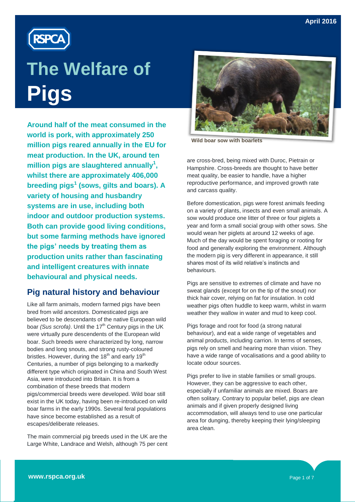

**Around half of the meat consumed in the world is pork, with approximately 250 million pigs reared annually in the EU for meat production. In the UK, around ten million pigs are slaughtered annually<sup>1</sup> , whilst there are approximately 406,000 breeding pigs<sup>1</sup> (sows, gilts and boars). A variety of housing and husbandry systems are in use, including both indoor and outdoor production systems. Both can provide good living conditions, but some farming methods have ignored the pigs' needs by treating them as production units rather than fascinating and intelligent creatures with innate behavioural and physical needs.** 

### **Pig natural history and behaviour**

Like all farm animals, modern farmed pigs have been bred from wild ancestors. Domesticated pigs are believed to be descendants of the native European wild boar *(Sus scrofa)*. Until the 17<sup>th</sup> Century pigs in the UK were virtually pure descendents of the European wild boar. Such breeds were characterized by long, narrow bodies and long snouts, and strong rusty-coloured bristles. However, during the  $18<sup>th</sup>$  and early  $19<sup>th</sup>$ Centuries, a number of pigs belonging to a markedly different type which originated in China and South West Asia, were introduced into Britain. It is from a combination of these breeds that modern pigs/commercial breeds were developed. Wild boar still exist in the UK today, having been re-introduced on wild boar farms in the early 1990s. Several feral populations have since become established as a result of escapes/deliberate releases.

The main commercial pig breeds used in the UK are the Large White, Landrace and Welsh, although 75 per cent



**Wild boar sow with boarlets** 

are cross-bred, being mixed with Duroc, Pietrain or Hampshire. Cross-breeds are thought to have better meat quality, be easier to handle, have a higher reproductive performance, and improved growth rate and carcass quality.

Before domestication, pigs were forest animals feeding on a variety of plants, insects and even small animals. A sow would produce one litter of three or four piglets a year and form a small social group with other sows. She would wean her piglets at around 12 weeks of age. Much of the day would be spent foraging or rooting for food and generally exploring the environment. Although the modern pig is very different in appearance, it still shares most of its wild relative's instincts and behaviours.

Pigs are sensitive to extremes of climate and have no sweat glands (except for on the tip of the snout) nor thick hair cover, relying on fat for insulation. In cold weather pigs often huddle to keep warm, whilst in warm weather they wallow in water and mud to keep cool.

Pigs forage and root for food (a strong natural behaviour), and eat a wide range of vegetables and animal products, including carrion. In terms of senses, pigs rely on smell and hearing more than vision. They have a wide range of vocalisations and a good ability to locate odour sources.

Pigs prefer to live in stable families or small groups. However, they can be aggressive to each other, especially if unfamiliar animals are mixed. Boars are often solitary. Contrary to popular belief, pigs are clean animals and if given properly designed living accommodation, will always tend to use one particular area for dunging, thereby keeping their lying/sleeping area clean.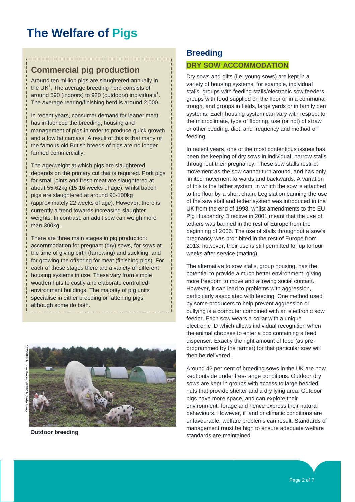# **Commercial pig production**

Around ten million pigs are slaughtered annually in the UK $1$ . The average breeding herd consists of around 590 (indoors) to 920 (outdoors) individuals<sup>1</sup>. The average rearing/finishing herd is around 2,000.

In recent years, consumer demand for leaner meat has influenced the breeding, housing and management of pigs in order to produce quick growth and a low fat carcass. A result of this is that many of the famous old British breeds of pigs are no longer farmed commercially.

The age/weight at which pigs are slaughtered depends on the primary cut that is required. Pork pigs for small joints and fresh meat are slaughtered at about 55-62kg (15-16 weeks of age), whilst bacon pigs are slaughtered at around 90-100kg (approximately 22 weeks of age). However, there is currently a trend towards increasing slaughter weights. In contrast, an adult sow can weigh more than 300kg.

There are three main stages in pig production: accommodation for pregnant (dry) sows, for sows at the time of giving birth (farrowing) and suckling, and for growing the offspring for meat (finishing pigs). For each of these stages there are a variety of different housing systems in use. These vary from simple wooden huts to costly and elaborate controlledenvironment buildings. The majority of pig units specialise in either breeding or fattening pigs. although some do both.

**1073861© Andrew Forysth/RSPCA photolibrary**



**Outdoor breeding**

### **Breeding**

### **DRY SOW ACCOMMODATION**

Dry sows and gilts (i.e. young sows) are kept in a variety of housing systems, for example, individual stalls, groups with feeding stalls/electronic sow feeders, groups with food supplied on the floor or in a communal trough, and groups in fields, large yards or in family pen systems. Each housing system can vary with respect to the microclimate, type of flooring, use (or not) of straw or other bedding, diet, and frequency and method of feeding.

In recent years, one of the most contentious issues has been the keeping of dry sows in individual, narrow stalls throughout their pregnancy. These sow stalls restrict movement as the sow cannot turn around, and has only limited movement forwards and backwards. A variation of this is the tether system, in which the sow is attached to the floor by a short chain. Legislation banning the use of the sow stall and tether system was introduced in the UK from the end of 1998, whilst amendments to the EU Pig Husbandry Directive in 2001 meant that the use of tethers was banned in the rest of Europe from the beginning of 2006. The use of stalls throughout a sow's pregnancy was prohibited in the rest of Europe from 2013; however, their use is still permitted for up to four weeks after service (mating).

The alternative to sow stalls, group housing, has the potential to provide a much better environment, giving more freedom to move and allowing social contact. However, it can lead to problems with aggression, particularly associated with feeding. One method used by some producers to help prevent aggression or bullying is a computer combined with an electronic sow feeder. Each sow wears a collar with a unique electronic ID which allows individual recognition when the animal chooses to enter a box containing a feed dispenser. Exactly the right amount of food (as preprogrammed by the farmer) for that particular sow will then be delivered.

Around 42 per cent of breeding sows in the UK are now kept outside under free-range conditions. Outdoor dry sows are kept in groups with access to large bedded huts that provide shelter and a dry lying area. Outdoor pigs have more space, and can explore their environment, forage and hence express their natural behaviours. However, if land or climatic conditions are unfavourable, welfare problems can result. Standards of management must be high to ensure adequate welfare standards are maintained.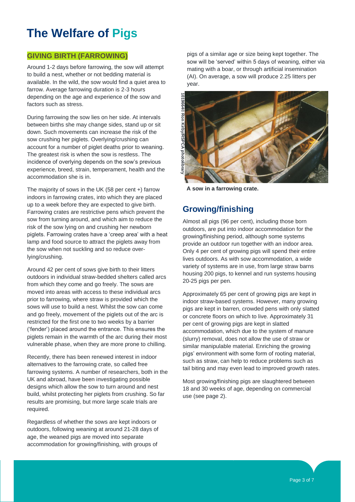#### **GIVING BIRTH (FARROWING)**

Around 1-2 days before farrowing, the sow will attempt to build a nest, whether or not bedding material is available. In the wild, the sow would find a quiet area to farrow. Average farrowing duration is 2-3 hours depending on the age and experience of the sow and factors such as stress.

During farrowing the sow lies on her side. At intervals between births she may change sides, stand up or sit down. Such movements can increase the risk of the sow crushing her piglets. Overlying/crushing can account for a number of piglet deaths prior to weaning. The greatest risk is when the sow is restless. The incidence of overlying depends on the sow's previous experience, breed, strain, temperament, health and the accommodation she is in.

The majority of sows in the UK (58 per cent +) farrow indoors in farrowing crates, into which they are placed up to a week before they are expected to give birth. Farrowing crates are restrictive pens which prevent the sow from turning around, and which aim to reduce the risk of the sow lying on and crushing her newborn piglets. Farrowing crates have a 'creep area' with a heat lamp and food source to attract the piglets away from the sow when not suckling and so reduce overlying/crushing.

Around 42 per cent of sows give birth to their litters outdoors in individual straw-bedded shelters called arcs from which they come and go freely. The sows are moved into areas with access to these individual arcs prior to farrowing, where straw is provided which the sows will use to build a nest. Whilst the sow can come and go freely, movement of the piglets out of the arc is restricted for the first one to two weeks by a barrier ('fender') placed around the entrance. This ensures the piglets remain in the warmth of the arc during their most vulnerable phase, when they are more prone to chilling.

Recently, there has been renewed interest in indoor alternatives to the farrowing crate, so called free farrowing systems. A number of researchers, both in the UK and abroad, have been investigating possible designs which allow the sow to turn around and nest build, whilst protecting her piglets from crushing. So far results are promising, but more large scale trials are required.

Regardless of whether the sows are kept indoors or outdoors, following weaning at around 21-28 days of age, the weaned pigs are moved into separate accommodation for growing/finishing, with groups of

pigs of a similar age or size being kept together. The sow will be 'served' within 5 days of weaning, either via mating with a boar, or through artificial insemination (AI). On average, a sow will produce 2.25 litters per year.



**A sow in a farrowing crate.**

# **Growing/finishing**

Almost all pigs (96 per cent), including those born outdoors, are put into indoor accommodation for the growing/finishing period, although some systems provide an outdoor run together with an indoor area. Only 4 per cent of growing pigs will spend their entire lives outdoors. As with sow accommodation, a wide variety of systems are in use, from large straw barns housing 200 pigs, to kennel and run systems housing 20-25 pigs per pen.

Approximately 65 per cent of growing pigs are kept in indoor straw-based systems. However, many growing pigs are kept in barren, crowded pens with only slatted or concrete floors on which to live. Approximately 31 per cent of growing pigs are kept in slatted accommodation, which due to the system of manure (slurry) removal, does not allow the use of straw or similar manipulable material. Enriching the growing pigs' environment with some form of rooting material, such as straw, can help to reduce problems such as tail biting and may even lead to improved growth rates.

Most growing/finishing pigs are slaughtered between 18 and 30 weeks of age, depending on commercial use (see page 2).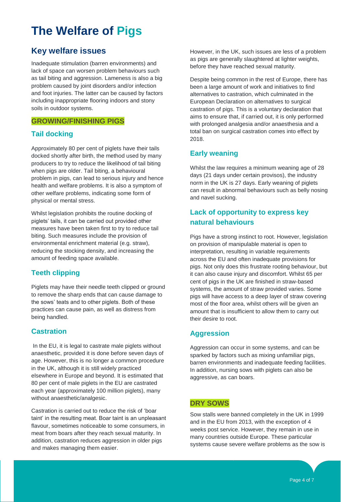# **Key welfare issues**

Inadequate stimulation (barren environments) and lack of space can worsen problem behaviours such as tail biting and aggression. Lameness is also a big problem caused by joint disorders and/or infection and foot injuries. The latter can be caused by factors including inappropriate flooring indoors and stony soils in outdoor systems.

#### **GROWING/FINISHING PIGS**

#### **Tail docking**

Approximately 80 per cent of piglets have their tails docked shortly after birth, the method used by many producers to try to reduce the likelihood of tail biting when pigs are older. Tail biting, a behavioural problem in pigs, can lead to serious injury and hence health and welfare problems. It is also a symptom of other welfare problems, indicating some form of physical or mental stress.

Whilst legislation prohibits the routine docking of piglets' tails, it can be carried out provided other measures have been taken first to try to reduce tail biting. Such measures include the provision of environmental enrichment material (e.g. straw), reducing the stocking density, and increasing the amount of feeding space available.

### **Teeth clipping**

Piglets may have their needle teeth clipped or ground to remove the sharp ends that can cause damage to the sows' teats and to other piglets. Both of these practices can cause pain, as well as distress from being handled.

#### **Castration**

In the EU, it is legal to castrate male piglets without anaesthetic, provided it is done before seven days of age. However, this is no longer a common procedure in the UK, although it is still widely practiced elsewhere in Europe and beyond. It is estimated that 80 per cent of male piglets in the EU are castrated each year (approximately 100 million piglets), many without anaesthetic/analgesic.

Castration is carried out to reduce the risk of 'boar taint' in the resulting meat. Boar taint is an unpleasant flavour, sometimes noticeable to some consumers, in meat from boars after they reach sexual maturity. In addition, castration reduces aggression in older pigs and makes managing them easier.

However, in the UK, such issues are less of a problem as pigs are generally slaughtered at lighter weights, before they have reached sexual maturity.

Despite being common in the rest of Europe, there has been a large amount of work and initiatives to find alternatives to castration, which culminated in the European Declaration on alternatives to surgical castration of pigs. This is a voluntary declaration that aims to ensure that, if carried out, it is only performed with prolonged analgesia and/or anaesthesia and a total ban on surgical castration comes into effect by 2018.

### **Early weaning**

Whilst the law requires a minimum weaning age of 28 days (21 days under certain provisos), the industry norm in the UK is 27 days. Early weaning of piglets can result in abnormal behaviours such as belly nosing and navel sucking.

### **Lack of opportunity to express key natural behaviours**

Pigs have a strong instinct to root. However, legislation on provision of manipulable material is open to interpretation, resulting in variable requirements across the EU and often inadequate provisions for pigs. Not only does this frustrate rooting behaviour, but it can also cause injury and discomfort. Whilst 65 per cent of pigs in the UK are finished in straw-based systems, the amount of straw provided varies. Some pigs will have access to a deep layer of straw covering most of the floor area, whilst others will be given an amount that is insufficient to allow them to carry out their desire to root.

#### **Aggression**

Aggression can occur in some systems, and can be sparked by factors such as mixing unfamiliar pigs, barren environments and inadequate feeding facilities. In addition, nursing sows with piglets can also be aggressive, as can boars.

#### **DRY SOWS**

Sow stalls were banned completely in the UK in 1999 and in the EU from 2013, with the exception of 4 weeks post service. However, they remain in use in many countries outside Europe. These particular systems cause severe welfare problems as the sow is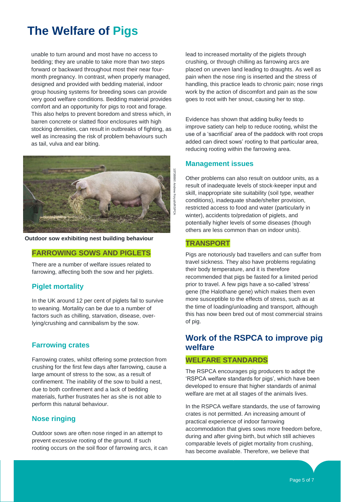unable to turn around and most have no access to bedding; they are unable to take more than two steps forward or backward throughout most their near fourmonth pregnancy. In contrast, when properly managed, designed and provided with bedding material, indoor group housing systems for breeding sows can provide very good welfare conditions. Bedding material provides comfort and an opportunity for pigs to root and forage. This also helps to prevent boredom and stress which, in barren concrete or slatted floor enclosures with high stocking densities, can result in outbreaks of fighting, as well as increasing the risk of problem behaviours such as tail, vulva and ear biting.



**Outdoor sow exhibiting nest building behaviour**

#### **FARROWING SOWS AND PIGLETS**

There are a number of welfare issues related to farrowing, affecting both the sow and her piglets.

#### **Piglet mortality**

In the UK around 12 per cent of piglets fail to survive to weaning. Mortality can be due to a number of factors such as chilling, starvation, disease, overlying/crushing and cannibalism by the sow.

#### **Farrowing crates**

Farrowing crates, whilst offering some protection from crushing for the first few days after farrowing, cause a large amount of stress to the sow, as a result of confinement. The inability of the sow to build a nest, due to both confinement and a lack of bedding materials, further frustrates her as she is not able to perform this natural behaviour.

#### **Nose ringing**

Outdoor sows are often nose ringed in an attempt to prevent excessive rooting of the ground. If such rooting occurs on the soil floor of farrowing arcs, it can lead to increased mortality of the piglets through crushing, or through chilling as farrowing arcs are placed on uneven land leading to draughts. As well as pain when the nose ring is inserted and the stress of handling, this practice leads to chronic pain; nose rings work by the action of discomfort and pain as the sow goes to root with her snout, causing her to stop.

Evidence has shown that adding bulky feeds to improve satiety can help to reduce rooting, whilst the use of a 'sacrificial' area of the paddock with root crops added can direct sows' rooting to that particular area, reducing rooting within the farrowing area.

#### **Management issues**

Other problems can also result on outdoor units, as a result of inadequate levels of stock-keeper input and skill, inappropriate site suitability (soil type, weather conditions), inadequate shade/shelter provision, restricted access to food and water (particularly in winter), accidents to/predation of piglets, and potentially higher levels of some diseases (though others are less common than on indoor units).

#### **TRANSPORT**

Pigs are notoriously bad travellers and can suffer from travel sickness. They also have problems regulating their body temperature, and it is therefore recommended that pigs be fasted for a limited period prior to travel. A few pigs have a so-called 'stress' gene (the Halothane gene) which makes them even more susceptible to the effects of stress, such as at the time of loading/unloading and transport, although this has now been bred out of most commercial strains of pig.

# **Work of the RSPCA to improve pig welfare**

#### **WELFARE STANDARDS**

The RSPCA encourages pig producers to adopt the 'RSPCA welfare standards for pigs', which have been developed to ensure that higher standards of animal welfare are met at all stages of the animals lives.

In the RSPCA welfare standards, the use of farrowing crates is not permitted. An increasing amount of practical experience of indoor farrowing accommodation that gives sows more freedom before, during and after giving birth, but which still achieves comparable levels of piglet mortality from crushing, has become available. Therefore, we believe that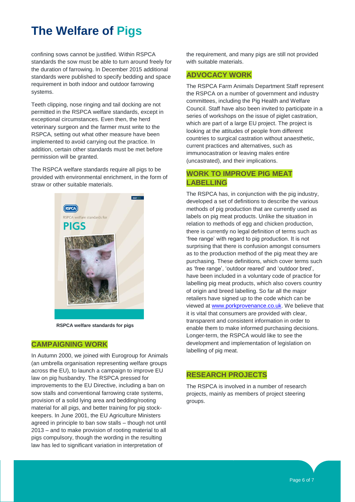confining sows cannot be justified. Within RSPCA standards the sow must be able to turn around freely for the duration of farrowing. In December 2015 additional standards were published to specify bedding and space requirement in both indoor and outdoor farrowing systems.

Teeth clipping, nose ringing and tail docking are not permitted in the RSPCA welfare standards, except in exceptional circumstances. Even then, the herd veterinary surgeon and the farmer must write to the RSPCA, setting out what other measure have been implemented to avoid carrying out the practice. In addition, certain other standards must be met before permission will be granted.

The RSPCA welfare standards require all pigs to be provided with environmental enrichment, in the form of straw or other suitable materials.



**RSPCA welfare standards for pigs** 

#### **CAMPAIGNING WORK**

In Autumn 2000, we joined with Eurogroup for Animals (an umbrella organisation representing welfare groups across the EU), to launch a campaign to improve EU law on pig husbandry. The RSPCA pressed for improvements to the EU Directive, including a ban on sow stalls and conventional farrowing crate systems, provision of a solid lying area and bedding/rooting material for all pigs, and better training for pig stockkeepers. In June 2001, the EU Agriculture Ministers agreed in principle to ban sow stalls – though not until 2013 – and to make provision of rooting material to all pigs compulsory, though the wording in the resulting law has led to significant variation in interpretation of

the requirement, and many pigs are still not provided with suitable materials.

#### **ADVOCACY WORK**

The RSPCA Farm Animals Department Staff represent the RSPCA on a number of government and industry committees, including the Pig Health and Welfare Council. Staff have also been invited to participate in a series of workshops on the issue of piglet castration, which are part of a large EU project. The project is looking at the attitudes of people from different countries to surgical castration without anaesthetic, current practices and alternatives, such as immunocastration or leaving males entire (uncastrated), and their implications.

#### **WORK TO IMPROVE PIG MEAT LABELLING**

The RSPCA has, in conjunction with the pig industry, developed a set of definitions to describe the various methods of pig production that are currently used as labels on pig meat products. Unlike the situation in relation to methods of egg and chicken production, there is currently no legal definition of terms such as 'free range' with regard to pig production. It is not surprising that there is confusion amongst consumers as to the production method of the pig meat they are purchasing. These definitions, which cover terms such as 'free range', 'outdoor reared' and 'outdoor bred', have been included in a voluntary code of practice for labelling pig meat products, which also covers country of origin and breed labelling. So far all the major retailers have signed up to the code which can be viewed at [www.porkprovenance.co.uk.](http://www.porkprovenance.co.uk/) We believe that it is vital that consumers are provided with clear, transparent and consistent information in order to enable them to make informed purchasing decisions. Longer-term, the RSPCA would like to see the development and implementation of legislation on labelling of pig meat.

#### **RESEARCH PROJECTS**

The RSPCA is involved in a number of research projects, mainly as members of project steering groups.